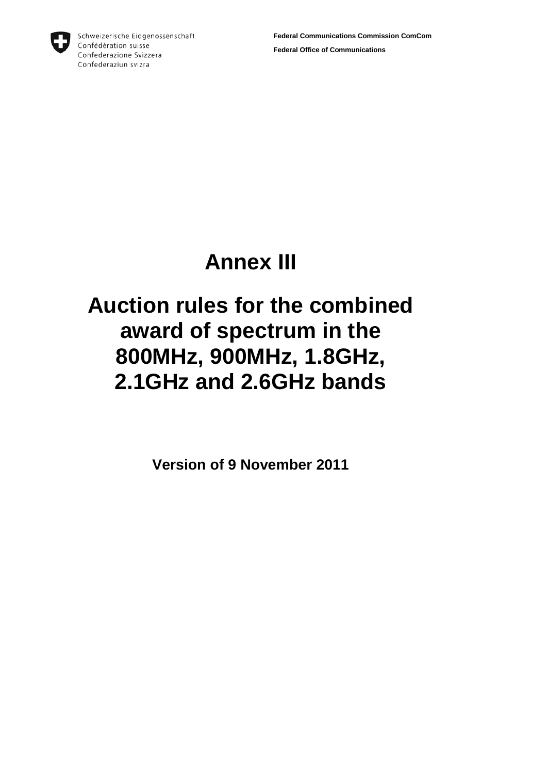

Schweizerische Eidgenossenschaft Confédération suisse Confederazione Svizzera Confederaziun svizra

# **Annex III**

# **Auction rules for the combined award of spectrum in the 800MHz, 900MHz, 1.8GHz, 2.1GHz and 2.6GHz bands**

**Version of 9 November 2011**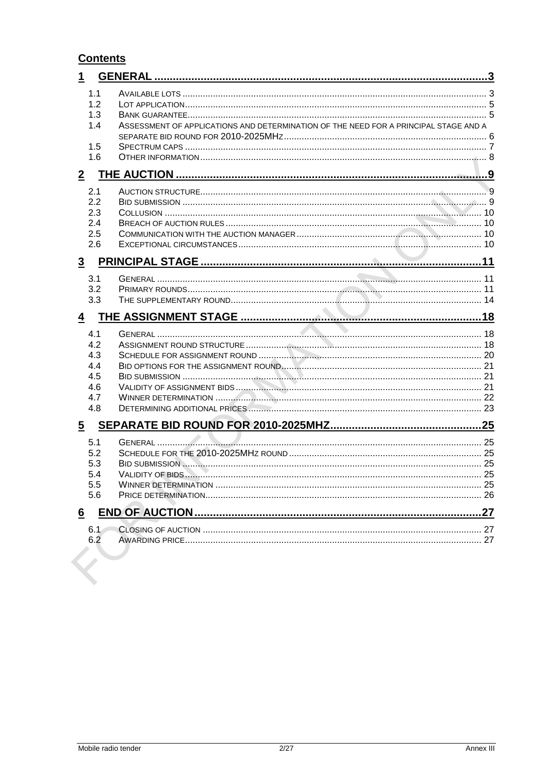## **Contents**

| 1              |                                                      |                                                                                      |  |
|----------------|------------------------------------------------------|--------------------------------------------------------------------------------------|--|
|                | 1.1<br>1.2<br>1.3<br>1.4<br>1.5<br>1.6               | ASSESSMENT OF APPLICATIONS AND DETERMINATION OF THE NEED FOR A PRINCIPAL STAGE AND A |  |
| $\overline{2}$ |                                                      |                                                                                      |  |
|                | 2.1<br>2.2<br>2.3<br>2.4<br>2.5<br>2.6               |                                                                                      |  |
| $\overline{3}$ |                                                      |                                                                                      |  |
|                | 3.1<br>3.2<br>3.3                                    |                                                                                      |  |
| $\overline{4}$ |                                                      |                                                                                      |  |
|                | 4.1<br>4.2<br>4.3<br>4.4<br>4.5<br>4.6<br>4.7<br>4.8 |                                                                                      |  |
| $\overline{5}$ |                                                      |                                                                                      |  |
|                | 5.1<br>5.2<br>5.3<br>5.4<br>5.5<br>5.6               |                                                                                      |  |
| 6              |                                                      |                                                                                      |  |
|                | 6.1<br>6.2                                           |                                                                                      |  |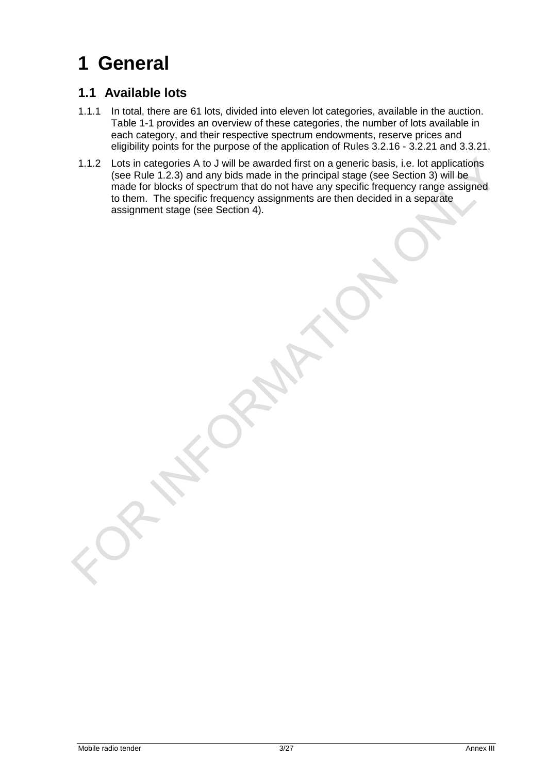# <span id="page-2-0"></span>**1 General**

## <span id="page-2-1"></span>**1.1 Available lots**

- 1.1.1 In total, there are 61 lots, divided into eleven lot categories, available in the auction. Table 1-1 provides an overview of these categories, the number of lots available in each category, and their respective spectrum endowments, reserve prices and eligibility points for the purpose of the application of Rules [3.2.16](#page-11-0) - [3.2.21](#page-11-1) and [3.3.21.](#page-14-0)
- 1.1.2 Lots in categories A to J will be awarded first on a generic basis, i.e. lot applications (see Rule [1.2.3\)](#page-4-2) and any bids made in the principal stage (see Section [3\)](#page-10-0) will be made for blocks of spectrum that do not have any specific frequency range assigned to them. The specific frequency assignments are then decided in a separate assignment stage (see Section [4\)](#page-17-0).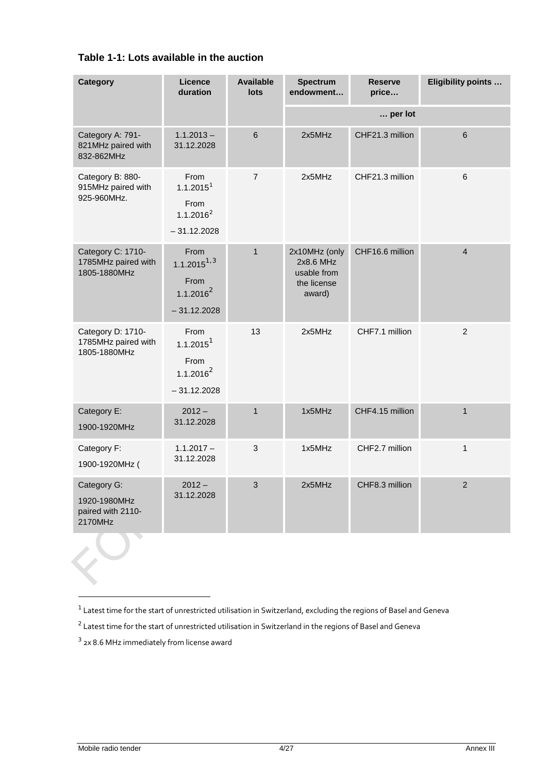| Table 1-1: Lots available in the auction |  |  |  |  |
|------------------------------------------|--|--|--|--|
|------------------------------------------|--|--|--|--|

| <b>Category</b>                                             | Licence<br>duration                                                             | <b>Available</b><br>lots | <b>Spectrum</b><br>endowment                                       | <b>Reserve</b><br>price | Eligibility points |
|-------------------------------------------------------------|---------------------------------------------------------------------------------|--------------------------|--------------------------------------------------------------------|-------------------------|--------------------|
|                                                             |                                                                                 |                          |                                                                    | per lot                 |                    |
| Category A: 791-<br>821MHz paired with<br>832-862MHz        | $1.1.2013 -$<br>31.12.2028                                                      | $\,6\,$                  | 2x5MHz                                                             | CHF21.3 million         | $\,6$              |
| Category B: 880-<br>915MHz paired with<br>925-960MHz.       | From<br>1.1.2015 <sup>1</sup><br>From<br>1.1.2016 <sup>2</sup><br>$-31.12.2028$ | $\overline{7}$           | 2x5MHz                                                             | CHF21.3 million         | 6                  |
| Category C: 1710-<br>1785MHz paired with<br>1805-1880MHz    | From<br>$1.1.2015^{1,3}$<br>From<br>$1.1.2016^2$<br>$-31.12.2028$               | $\mathbf{1}$             | 2x10MHz (only<br>2x8.6 MHz<br>usable from<br>the license<br>award) | CHF16.6 million         | $\overline{4}$     |
| Category D: 1710-<br>1785MHz paired with<br>1805-1880MHz    | From<br>1.1.2015 <sup>1</sup><br>From<br>$1.1.2016^2$<br>$-31.12.2028$          | 13                       | 2x5MHz                                                             | CHF7.1 million          | $\overline{2}$     |
| Category E:<br>1900-1920MHz                                 | $2012 -$<br>31.12.2028                                                          | $\mathbf{1}$             | 1x5MHz                                                             | CHF4.15 million         | $\mathbf{1}$       |
| Category F:<br>1900-1920MHz (                               | $1.1.2017 -$<br>31.12.2028                                                      | $\mathbf{3}$             | 1x5MHz                                                             | CHF2.7 million          | $\mathbf{1}$       |
| Category G:<br>1920-1980MHz<br>paired with 2110-<br>2170MHz | $2012 -$<br>31.12.2028                                                          | 3                        | 2x5MHz                                                             | CHF8.3 million          | $\overline{2}$     |
|                                                             |                                                                                 |                          |                                                                    |                         |                    |

-

 $1$  Latest time for the start of unrestricted utilisation in Switzerland, excluding the regions of Basel and Geneva

<span id="page-3-1"></span><span id="page-3-0"></span> $2$  Latest time for the start of unrestricted utilisation in Switzerland in the regions of Basel and Geneva

<span id="page-3-2"></span> $3$  2x 8.6 MHz immediately from license award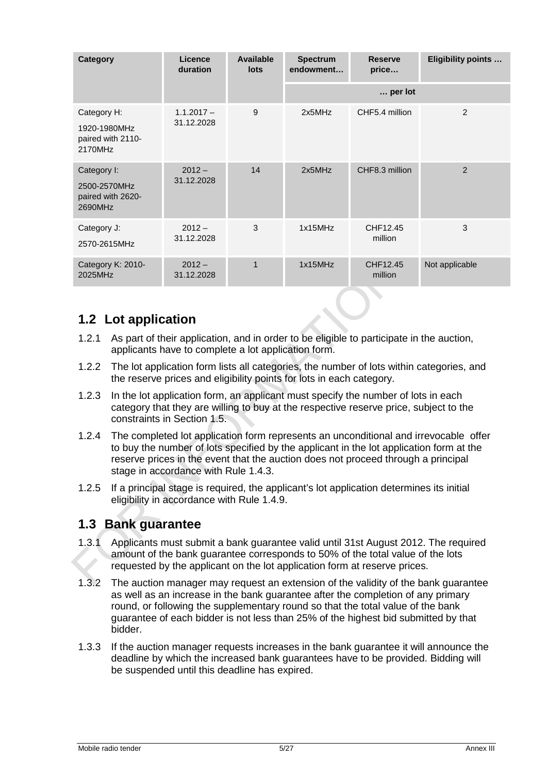| <b>Category</b>                                             | Licence<br>duration        | Available<br>lots | <b>Spectrum</b><br>endowment | <b>Reserve</b><br>price | Eligibility points |
|-------------------------------------------------------------|----------------------------|-------------------|------------------------------|-------------------------|--------------------|
|                                                             |                            |                   |                              | per lot                 |                    |
| Category H:<br>1920-1980MHz<br>paired with 2110-<br>2170MHz | $1.1.2017 -$<br>31.12.2028 | 9                 | 2x5MHz                       | CHF5.4 million          | 2                  |
| Category I:<br>2500-2570MHz<br>paired with 2620-<br>2690MHz | $2012 -$<br>31.12.2028     | 14                | 2x5MHz                       | CHF8.3 million          | $\overline{2}$     |
| Category J:<br>2570-2615MHz                                 | $2012 -$<br>31.12.2028     | 3                 | 1x15MHz                      | CHF12.45<br>million     | 3                  |
| Category K: 2010-<br>2025MHz                                | $2012 -$<br>31.12.2028     | 1                 | 1x15MHz                      | CHF12.45<br>million     | Not applicable     |

## <span id="page-4-0"></span>**1.2 Lot application**

- 1.2.1 As part of their application, and in order to be eligible to participate in the auction, applicants have to complete a lot application form.
- 1.2.2 The lot application form lists all categories, the number of lots within categories, and the reserve prices and eligibility points for lots in each category.
- <span id="page-4-2"></span>1.2.3 In the lot application form, an applicant must specify the number of lots in each category that they are willing to buy at the respective reserve price, subject to the constraints in Section [1.5.](#page-6-0)
- 1.2.4 The completed lot application form represents an unconditional and irrevocable offer to buy the number of lots specified by the applicant in the lot application form at the reserve prices in the event that the auction does not proceed through a principal stage in accordance with Rule [1.4.3.](#page-6-1)
- 1.2.5 If a principal stage is required, the applicant's lot application determines its initial eligibility in accordance with Rule [1.4.9.](#page-6-2)

### <span id="page-4-1"></span>**1.3 Bank guarantee**

- 1.3.1 Applicants must submit a bank guarantee valid until 31st August 2012. The required amount of the bank guarantee corresponds to 50% of the total value of the lots requested by the applicant on the lot application form at reserve prices.
- 1.3.2 The auction manager may request an extension of the validity of the bank guarantee as well as an increase in the bank guarantee after the completion of any primary round, or following the supplementary round so that the total value of the bank guarantee of each bidder is not less than 25% of the highest bid submitted by that bidder.
- 1.3.3 If the auction manager requests increases in the bank guarantee it will announce the deadline by which the increased bank guarantees have to be provided. Bidding will be suspended until this deadline has expired.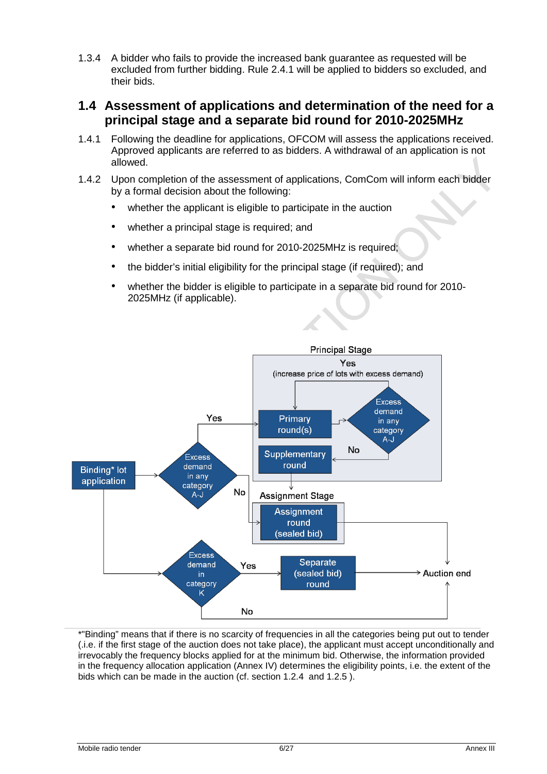1.3.4 A bidder who fails to provide the increased bank guarantee as requested will be excluded from further bidding. Rule [2.4.1](#page-9-4) will be applied to bidders so excluded, and their bids.

### <span id="page-5-0"></span>**1.4 Assessment of applications and determination of the need for a principal stage and a separate bid round for 2010-2025MHz**

- 1.4.1 Following the deadline for applications, OFCOM will assess the applications received. Approved applicants are referred to as bidders. A withdrawal of an application is not allowed.
- 1.4.2 Upon completion of the assessment of applications, ComCom will inform each bidder by a formal decision about the following:
	- whether the applicant is eligible to participate in the auction
	- whether a principal stage is required; and
	- whether a separate bid round for 2010-2025MHz is required:
	- the bidder's initial eligibility for the principal stage (if required); and
	- whether the bidder is eligible to participate in a separate bid round for 2010- 2025MHz (if applicable).



\*"Binding" means that if there is no scarcity of frequencies in all the categories being put out to tender (.i.e. if the first stage of the auction does not take place), the applicant must accept unconditionally and irrevocably the frequency blocks applied for at the minimum bid. Otherwise, the information provided in the frequency allocation application (Annex IV) determines the eligibility points, i.e. the extent of the bids which can be made in the auction (cf. section 1.2.4 and 1.2.5 ).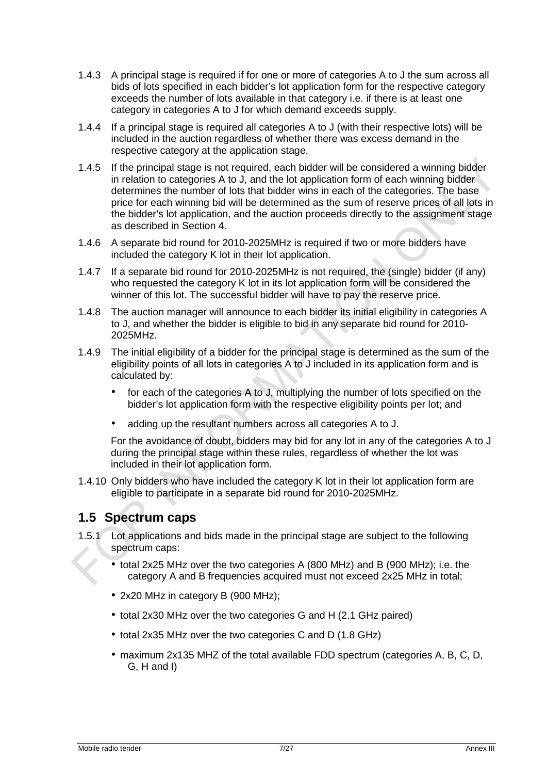- <span id="page-6-1"></span>1.4.3 A principal stage is required if for one or more of categories A to J the sum across all bids of lots specified in each bidder's lot application form for the respective category exceeds the number of lots available in that category i.e. if there is at least one category in categories A to J for which demand exceeds supply.
- 1.4.4 If a principal stage is required all categories A to J (with their respective lots) will be included in the auction regardless of whether there was excess demand in the respective category at the application stage.
- 1.4.5 If the principal stage is not required, each bidder will be considered a winning bidder in relation to categories A to J, and the lot application form of each winning bidder determines the number of lots that bidder wins in each of the categories. The base price for each winning bid will be determined as the sum of reserve prices of all lots in the bidder's lot application, and the auction proceeds directly to the assignment stage as described in Section [4.](#page-17-0)
- 1.4.6 A separate bid round for 2010-2025MHz is required if two or more bidders have included the category K lot in their lot application.
- 1.4.7 If a separate bid round for 2010-2025MHz is not required, the (single) bidder (if any) who requested the category K lot in its lot application form will be considered the winner of this lot. The successful bidder will have to pay the reserve price.
- 1.4.8 The auction manager will announce to each bidder its initial eligibility in categories A to J, and whether the bidder is eligible to bid in any separate bid round for 2010- 2025MHz.
- <span id="page-6-2"></span>1.4.9 The initial eligibility of a bidder for the principal stage is determined as the sum of the eligibility points of all lots in categories A to J included in its application form and is calculated by:
	- for each of the categories A to J, multiplying the number of lots specified on the bidder's lot application form with the respective eligibility points per lot; and
	- adding up the resultant numbers across all categories A to J.

For the avoidance of doubt, bidders may bid for any lot in any of the categories A to J during the principal stage within these rules, regardless of whether the lot was included in their lot application form.

1.4.10 Only bidders who have included the category K lot in their lot application form are eligible to participate in a separate bid round for 2010-2025MHz.

## <span id="page-6-0"></span>**1.5 Spectrum caps**

- <span id="page-6-3"></span>1.5.1 Lot applications and bids made in the principal stage are subject to the following spectrum caps:
	- total 2x25 MHz over the two categories A (800 MHz) and B (900 MHz); i.e. the category A and B frequencies acquired must not exceed 2x25 MHz in total;
	- 2x20 MHz in category B (900 MHz);
	- total 2x30 MHz over the two categories G and H (2.1 GHz paired)
	- total 2x35 MHz over the two categories C and D (1.8 GHz)
	- maximum 2x135 MHZ of the total available FDD spectrum (categories A, B, C, D, G, H and I)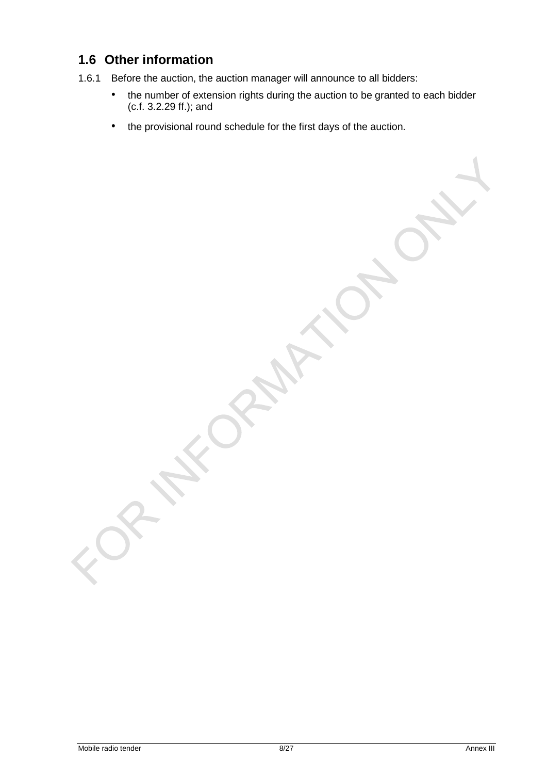## <span id="page-7-0"></span>**1.6 Other information**

- 1.6.1 Before the auction, the auction manager will announce to all bidders:
	- the number of extension rights during the auction to be granted to each bidder (c.f. 3.2.29 ff.); and
	- the provisional round schedule for the first days of the auction.

Mobile radio tender 8/27 Annex III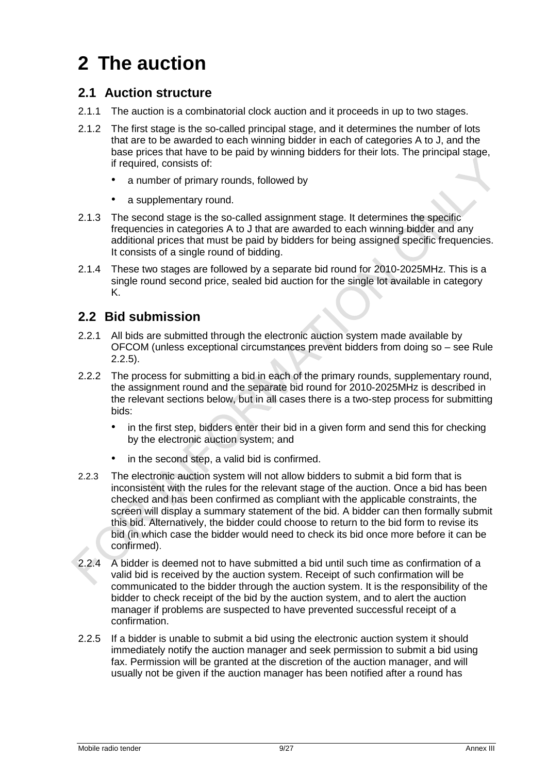# <span id="page-8-0"></span>**2 The auction**

## <span id="page-8-1"></span>**2.1 Auction structure**

- 2.1.1 The auction is a combinatorial clock auction and it proceeds in up to two stages.
- 2.1.2 The first stage is the so-called principal stage, and it determines the number of lots that are to be awarded to each winning bidder in each of categories A to J, and the base prices that have to be paid by winning bidders for their lots. The principal stage, if required, consists of:
	- a number of primary rounds, followed by
	- a supplementary round.
- 2.1.3 The second stage is the so-called assignment stage. It determines the specific frequencies in categories A to J that are awarded to each winning bidder and any additional prices that must be paid by bidders for being assigned specific frequencies. It consists of a single round of bidding.
- 2.1.4 These two stages are followed by a separate bid round for 2010-2025MHz. This is a single round second price, sealed bid auction for the single lot available in category K.

## <span id="page-8-2"></span>**2.2 Bid submission**

- 2.2.1 All bids are submitted through the electronic auction system made available by OFCOM (unless exceptional circumstances prevent bidders from doing so – see Rule [2.2.5\)](#page-8-3).
- 2.2.2 The process for submitting a bid in each of the primary rounds, supplementary round, the assignment round and the separate bid round for 2010-2025MHz is described in the relevant sections below, but in all cases there is a two-step process for submitting bids:
	- in the first step, bidders enter their bid in a given form and send this for checking by the electronic auction system; and
	- in the second step, a valid bid is confirmed.
- 2.2.3 The electronic auction system will not allow bidders to submit a bid form that is inconsistent with the rules for the relevant stage of the auction. Once a bid has been checked and has been confirmed as compliant with the applicable constraints, the screen will display a summary statement of the bid. A bidder can then formally submit this bid. Alternatively, the bidder could choose to return to the bid form to revise its bid (in which case the bidder would need to check its bid once more before it can be confirmed).
- 2.2.4 A bidder is deemed not to have submitted a bid until such time as confirmation of a valid bid is received by the auction system. Receipt of such confirmation will be communicated to the bidder through the auction system. It is the responsibility of the bidder to check receipt of the bid by the auction system, and to alert the auction manager if problems are suspected to have prevented successful receipt of a confirmation.
- <span id="page-8-3"></span>2.2.5 If a bidder is unable to submit a bid using the electronic auction system it should immediately notify the auction manager and seek permission to submit a bid using fax. Permission will be granted at the discretion of the auction manager, and will usually not be given if the auction manager has been notified after a round has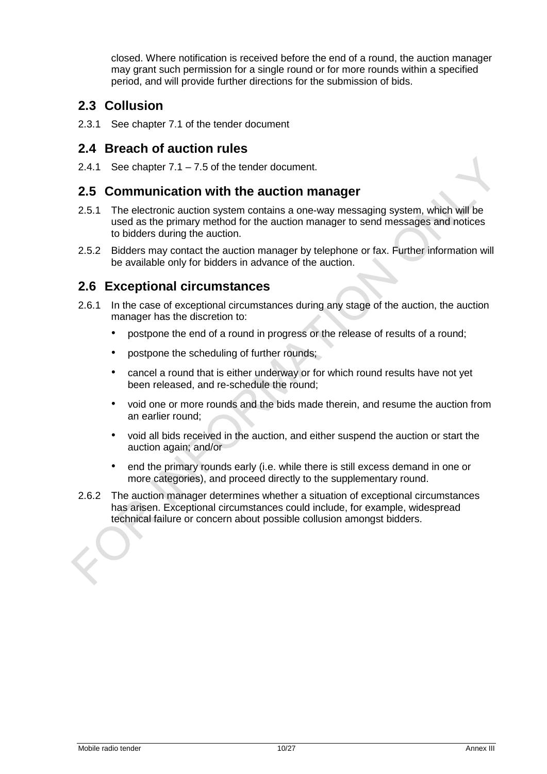closed. Where notification is received before the end of a round, the auction manager may grant such permission for a single round or for more rounds within a specified period, and will provide further directions for the submission of bids.

## <span id="page-9-0"></span>**2.3 Collusion**

2.3.1 See chapter 7.1 of the tender document

## <span id="page-9-1"></span>**2.4 Breach of auction rules**

<span id="page-9-4"></span>2.4.1 See chapter  $7.1 - 7.5$  of the tender document.

### <span id="page-9-2"></span>**2.5 Communication with the auction manager**

- 2.5.1 The electronic auction system contains a one-way messaging system, which will be used as the primary method for the auction manager to send messages and notices to bidders during the auction.
- 2.5.2 Bidders may contact the auction manager by telephone or fax. Further information will be available only for bidders in advance of the auction.

## <span id="page-9-3"></span>**2.6 Exceptional circumstances**

- 2.6.1 In the case of exceptional circumstances during any stage of the auction, the auction manager has the discretion to:
	- postpone the end of a round in progress or the release of results of a round;
	- postpone the scheduling of further rounds;
	- cancel a round that is either underway or for which round results have not yet been released, and re-schedule the round;
	- void one or more rounds and the bids made therein, and resume the auction from an earlier round;
	- void all bids received in the auction, and either suspend the auction or start the auction again; and/or
	- end the primary rounds early (i.e. while there is still excess demand in one or more categories), and proceed directly to the supplementary round.
- 2.6.2 The auction manager determines whether a situation of exceptional circumstances has arisen. Exceptional circumstances could include, for example, widespread technical failure or concern about possible collusion amongst bidders.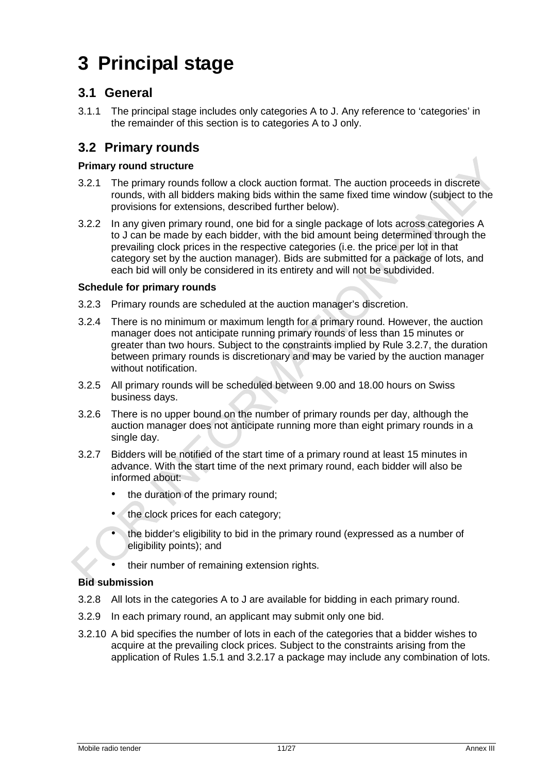# <span id="page-10-0"></span>**3 Principal stage**

## <span id="page-10-1"></span>**3.1 General**

3.1.1 The principal stage includes only categories A to J. Any reference to 'categories' in the remainder of this section is to categories A to J only.

## <span id="page-10-2"></span>**3.2 Primary rounds**

#### **Primary round structure**

- 3.2.1 The primary rounds follow a clock auction format. The auction proceeds in discrete rounds, with all bidders making bids within the same fixed time window (subject to the provisions for extensions, described further below).
- 3.2.2 In any given primary round, one bid for a single package of lots across categories A to J can be made by each bidder, with the bid amount being determined through the prevailing clock prices in the respective categories (i.e. the price per lot in that category set by the auction manager). Bids are submitted for a package of lots, and each bid will only be considered in its entirety and will not be subdivided.

#### **Schedule for primary rounds**

- 3.2.3 Primary rounds are scheduled at the auction manager's discretion.
- 3.2.4 There is no minimum or maximum length for a primary round. However, the auction manager does not anticipate running primary rounds of less than 15 minutes or greater than two hours. Subject to the constraints implied by Rule [3.2.7,](#page-10-3) the duration between primary rounds is discretionary and may be varied by the auction manager without notification.
- 3.2.5 All primary rounds will be scheduled between 9.00 and 18.00 hours on Swiss business days.
- 3.2.6 There is no upper bound on the number of primary rounds per day, although the auction manager does not anticipate running more than eight primary rounds in a single day.
- <span id="page-10-3"></span>3.2.7 Bidders will be notified of the start time of a primary round at least 15 minutes in advance. With the start time of the next primary round, each bidder will also be informed about:
	- the duration of the primary round;
	- the clock prices for each category;
	- the bidder's eligibility to bid in the primary round (expressed as a number of eligibility points); and
	- their number of remaining extension rights.

#### **Bid submission**

- 3.2.8 All lots in the categories A to J are available for bidding in each primary round.
- 3.2.9 In each primary round, an applicant may submit only one bid.
- 3.2.10 A bid specifies the number of lots in each of the categories that a bidder wishes to acquire at the prevailing clock prices. Subject to the constraints arising from the application of Rules [1.5.1](#page-6-3) and [3.2.17](#page-11-2) a package may include any combination of lots.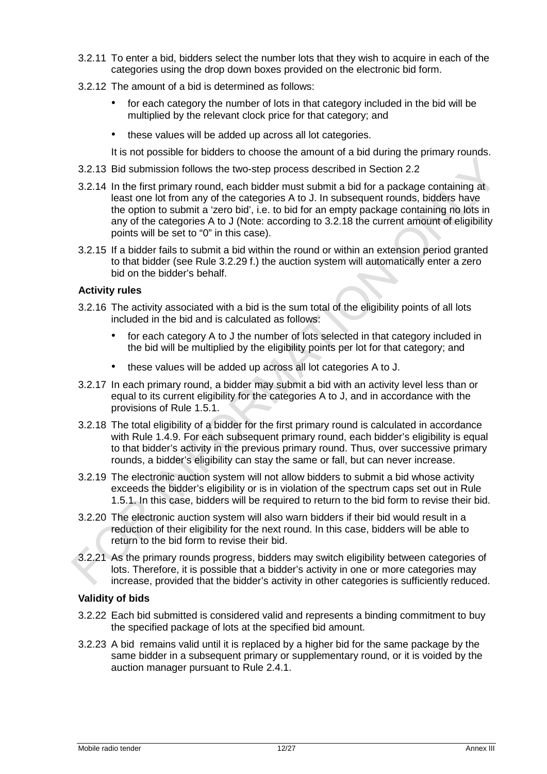- 3.2.11 To enter a bid, bidders select the number lots that they wish to acquire in each of the categories using the drop down boxes provided on the electronic bid form.
- 3.2.12 The amount of a bid is determined as follows:
	- for each category the number of lots in that category included in the bid will be multiplied by the relevant clock price for that category; and
	- these values will be added up across all lot categories.

It is not possible for bidders to choose the amount of a bid during the primary rounds.

- 3.2.13 Bid submission follows the two-step process described in Section [2.2](#page-8-2)
- 3.2.14 In the first primary round, each bidder must submit a bid for a package containing at least one lot from any of the categories A to J. In subsequent rounds, bidders have the option to submit a 'zero bid', i.e. to bid for an empty package containing no lots in any of the categories A to J (Note: according to 3.2.18 the current amount of eligibility points will be set to "0" in this case).
- 3.2.15 If a bidder fails to submit a bid within the round or within an extension period granted to that bidder (see Rule [3.2.29](#page-12-0) f.) the auction system will automatically enter a zero bid on the bidder's behalf.

#### **Activity rules**

- <span id="page-11-0"></span>3.2.16 The activity associated with a bid is the sum total of the eligibility points of all lots included in the bid and is calculated as follows:
	- for each category A to J the number of lots selected in that category included in the bid will be multiplied by the eligibility points per lot for that category; and
	- these values will be added up across all lot categories A to J.
- <span id="page-11-2"></span>3.2.17 In each primary round, a bidder may submit a bid with an activity level less than or equal to its current eligibility for the categories A to J, and in accordance with the provisions of Rule [1.5.1.](#page-6-3)
- 3.2.18 The total eligibility of a bidder for the first primary round is calculated in accordance with Rule [1.4.9.](#page-6-2) For each subsequent primary round, each bidder's eligibility is equal to that bidder's activity in the previous primary round. Thus, over successive primary rounds, a bidder's eligibility can stay the same or fall, but can never increase.
- 3.2.19 The electronic auction system will not allow bidders to submit a bid whose activity exceeds the bidder's eligibility or is in violation of the spectrum caps set out in Rule [1.5.1.](#page-6-3) In this case, bidders will be required to return to the bid form to revise their bid.
- 3.2.20 The electronic auction system will also warn bidders if their bid would result in a reduction of their eligibility for the next round. In this case, bidders will be able to return to the bid form to revise their bid.
- <span id="page-11-1"></span>3.2.21 As the primary rounds progress, bidders may switch eligibility between categories of lots. Therefore, it is possible that a bidder's activity in one or more categories may increase, provided that the bidder's activity in other categories is sufficiently reduced.

#### **Validity of bids**

- 3.2.22 Each bid submitted is considered valid and represents a binding commitment to buy the specified package of lots at the specified bid amount.
- 3.2.23 A bid remains valid until it is replaced by a higher bid for the same package by the same bidder in a subsequent primary or supplementary round, or it is voided by the auction manager pursuant to Rule [2.4.1.](#page-9-4)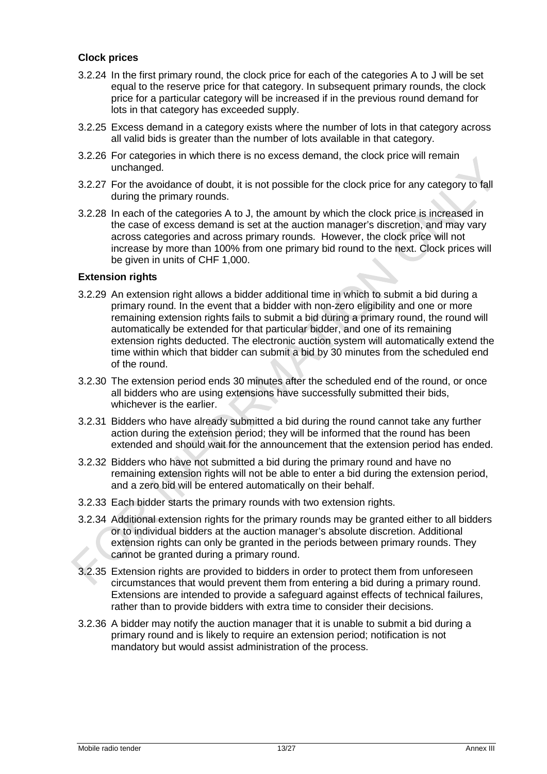#### **Clock prices**

- 3.2.24 In the first primary round, the clock price for each of the categories A to J will be set equal to the reserve price for that category. In subsequent primary rounds, the clock price for a particular category will be increased if in the previous round demand for lots in that category has exceeded supply.
- 3.2.25 Excess demand in a category exists where the number of lots in that category across all valid bids is greater than the number of lots available in that category.
- 3.2.26 For categories in which there is no excess demand, the clock price will remain unchanged.
- 3.2.27 For the avoidance of doubt, it is not possible for the clock price for any category to fall during the primary rounds.
- 3.2.28 In each of the categories A to J, the amount by which the clock price is increased in the case of excess demand is set at the auction manager's discretion, and may vary across categories and across primary rounds. However, the clock price will not increase by more than 100% from one primary bid round to the next. Clock prices will be given in units of CHF 1,000.

#### **Extension rights**

- <span id="page-12-0"></span>3.2.29 An extension right allows a bidder additional time in which to submit a bid during a primary round. In the event that a bidder with non-zero eligibility and one or more remaining extension rights fails to submit a bid during a primary round, the round will automatically be extended for that particular bidder, and one of its remaining extension rights deducted. The electronic auction system will automatically extend the time within which that bidder can submit a bid by 30 minutes from the scheduled end of the round.
- 3.2.30 The extension period ends 30 minutes after the scheduled end of the round, or once all bidders who are using extensions have successfully submitted their bids, whichever is the earlier.
- 3.2.31 Bidders who have already submitted a bid during the round cannot take any further action during the extension period; they will be informed that the round has been extended and should wait for the announcement that the extension period has ended.
- 3.2.32 Bidders who have not submitted a bid during the primary round and have no remaining extension rights will not be able to enter a bid during the extension period, and a zero bid will be entered automatically on their behalf.
- 3.2.33 Each bidder starts the primary rounds with two extension rights.
- 3.2.34 Additional extension rights for the primary rounds may be granted either to all bidders or to individual bidders at the auction manager's absolute discretion. Additional extension rights can only be granted in the periods between primary rounds. They cannot be granted during a primary round.
- 3.2.35 Extension rights are provided to bidders in order to protect them from unforeseen circumstances that would prevent them from entering a bid during a primary round. Extensions are intended to provide a safeguard against effects of technical failures, rather than to provide bidders with extra time to consider their decisions.
- 3.2.36 A bidder may notify the auction manager that it is unable to submit a bid during a primary round and is likely to require an extension period; notification is not mandatory but would assist administration of the process.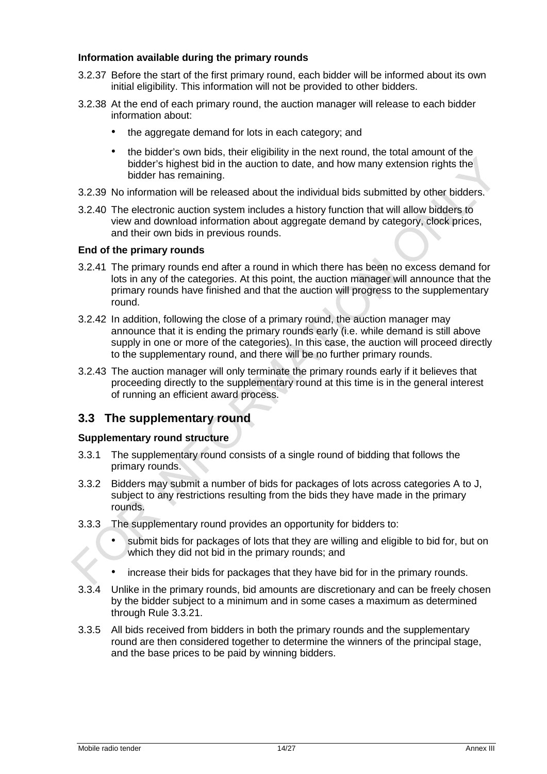#### **Information available during the primary rounds**

- 3.2.37 Before the start of the first primary round, each bidder will be informed about its own initial eligibility. This information will not be provided to other bidders.
- 3.2.38 At the end of each primary round, the auction manager will release to each bidder information about:
	- the aggregate demand for lots in each category; and
	- the bidder's own bids, their eligibility in the next round, the total amount of the bidder's highest bid in the auction to date, and how many extension rights the bidder has remaining.
- 3.2.39 No information will be released about the individual bids submitted by other bidders.
- 3.2.40 The electronic auction system includes a history function that will allow bidders to view and download information about aggregate demand by category, clock prices, and their own bids in previous rounds.

#### **End of the primary rounds**

- 3.2.41 The primary rounds end after a round in which there has been no excess demand for lots in any of the categories. At this point, the auction manager will announce that the primary rounds have finished and that the auction will progress to the supplementary round.
- 3.2.42 In addition, following the close of a primary round, the auction manager may announce that it is ending the primary rounds early (i.e. while demand is still above supply in one or more of the categories). In this case, the auction will proceed directly to the supplementary round, and there will be no further primary rounds.
- 3.2.43 The auction manager will only terminate the primary rounds early if it believes that proceeding directly to the supplementary round at this time is in the general interest of running an efficient award process.

#### <span id="page-13-0"></span>**3.3 The supplementary round**

#### **Supplementary round structure**

- 3.3.1 The supplementary round consists of a single round of bidding that follows the primary rounds.
- 3.3.2 Bidders may submit a number of bids for packages of lots across categories A to J, subject to any restrictions resulting from the bids they have made in the primary rounds.
- 3.3.3 The supplementary round provides an opportunity for bidders to:
	- submit bids for packages of lots that they are willing and eligible to bid for, but on which they did not bid in the primary rounds; and
	- increase their bids for packages that they have bid for in the primary rounds.
- 3.3.4 Unlike in the primary rounds, bid amounts are discretionary and can be freely chosen by the bidder subject to a minimum and in some cases a maximum as determined through Rule [3.3.21.](#page-14-0)
- 3.3.5 All bids received from bidders in both the primary rounds and the supplementary round are then considered together to determine the winners of the principal stage, and the base prices to be paid by winning bidders.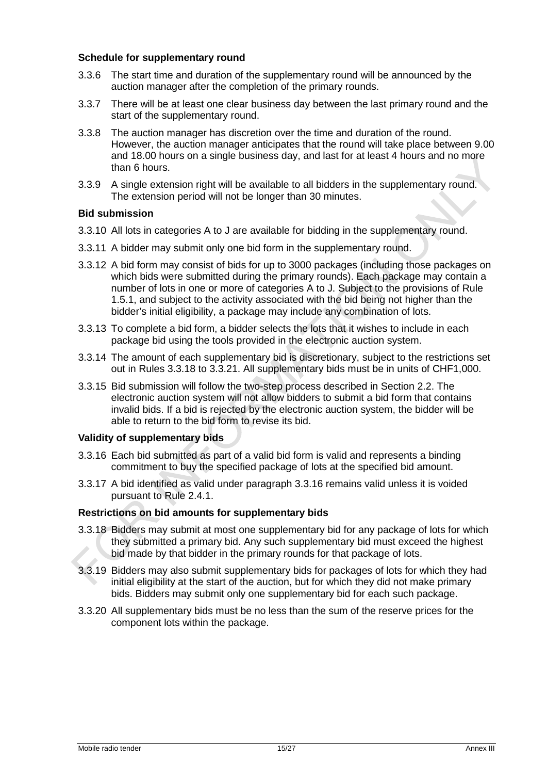#### **Schedule for supplementary round**

- 3.3.6 The start time and duration of the supplementary round will be announced by the auction manager after the completion of the primary rounds.
- 3.3.7 There will be at least one clear business day between the last primary round and the start of the supplementary round.
- 3.3.8 The auction manager has discretion over the time and duration of the round. However, the auction manager anticipates that the round will take place between 9.00 and 18.00 hours on a single business day, and last for at least 4 hours and no more than 6 hours.
- 3.3.9 A single extension right will be available to all bidders in the supplementary round. The extension period will not be longer than 30 minutes.

#### **Bid submission**

- 3.3.10 All lots in categories A to J are available for bidding in the supplementary round.
- 3.3.11 A bidder may submit only one bid form in the supplementary round.
- 3.3.12 A bid form may consist of bids for up to 3000 packages (including those packages on which bids were submitted during the primary rounds). Each package may contain a number of lots in one or more of categories A to J. Subject to the provisions of Rule [1.5.1,](#page-6-3) and subject to the activity associated with the bid being not higher than the bidder's initial eligibility, a package may include any combination of lots.
- 3.3.13 To complete a bid form, a bidder selects the lots that it wishes to include in each package bid using the tools provided in the electronic auction system.
- 3.3.14 The amount of each supplementary bid is discretionary, subject to the restrictions set out in Rules [3.3.18](#page-14-1) to [3.3.21.](#page-14-0) All supplementary bids must be in units of CHF1,000.
- 3.3.15 Bid submission will follow the two-step process described in Section [2.2.](#page-8-2) The electronic auction system will not allow bidders to submit a bid form that contains invalid bids. If a bid is rejected by the electronic auction system, the bidder will be able to return to the bid form to revise its bid.

#### **Validity of supplementary bids**

- <span id="page-14-2"></span>3.3.16 Each bid submitted as part of a valid bid form is valid and represents a binding commitment to buy the specified package of lots at the specified bid amount.
- 3.3.17 A bid identified as valid under paragraph [3.3.16](#page-14-2) remains valid unless it is voided pursuant to Rule [2.4.1.](#page-9-4)

#### **Restrictions on bid amounts for supplementary bids**

- <span id="page-14-1"></span>3.3.18 Bidders may submit at most one supplementary bid for any package of lots for which they submitted a primary bid. Any such supplementary bid must exceed the highest bid made by that bidder in the primary rounds for that package of lots.
- 3.3.19 Bidders may also submit supplementary bids for packages of lots for which they had initial eligibility at the start of the auction, but for which they did not make primary bids. Bidders may submit only one supplementary bid for each such package.
- <span id="page-14-0"></span>3.3.20 All supplementary bids must be no less than the sum of the reserve prices for the component lots within the package.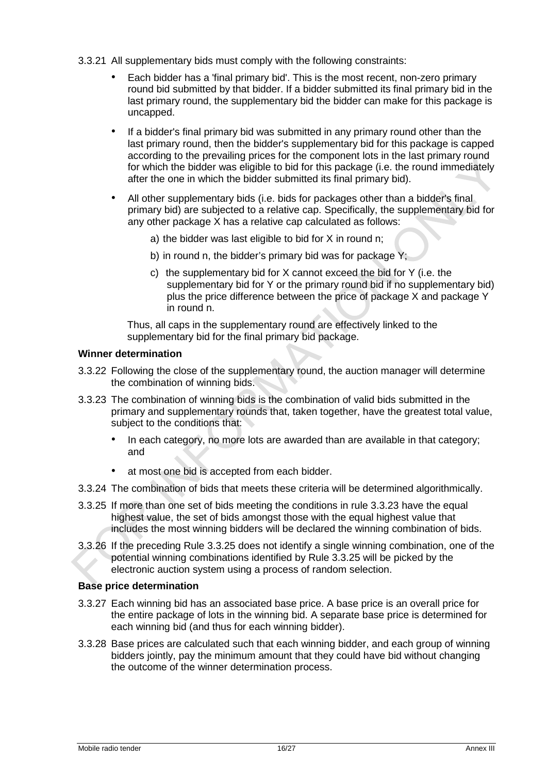- 3.3.21 All supplementary bids must comply with the following constraints:
	- Each bidder has a 'final primary bid'. This is the most recent, non-zero primary round bid submitted by that bidder. If a bidder submitted its final primary bid in the last primary round, the supplementary bid the bidder can make for this package is uncapped.
	- If a bidder's final primary bid was submitted in any primary round other than the last primary round, then the bidder's supplementary bid for this package is capped according to the prevailing prices for the component lots in the last primary round for which the bidder was eligible to bid for this package (i.e. the round immediately after the one in which the bidder submitted its final primary bid).
	- All other supplementary bids (i.e. bids for packages other than a bidder's final primary bid) are subjected to a relative cap. Specifically, the supplementary bid for any other package X has a relative cap calculated as follows:
		- a) the bidder was last eligible to bid for X in round n;
		- b) in round n, the bidder's primary bid was for package Y;
		- c) the supplementary bid for X cannot exceed the bid for Y (i.e. the supplementary bid for Y or the primary round bid if no supplementary bid) plus the price difference between the price of package X and package Y in round n.

Thus, all caps in the supplementary round are effectively linked to the supplementary bid for the final primary bid package.

#### **Winner determination**

- 3.3.22 Following the close of the supplementary round, the auction manager will determine the combination of winning bids.
- <span id="page-15-0"></span>3.3.23 The combination of winning bids is the combination of valid bids submitted in the primary and supplementary rounds that, taken together, have the greatest total value, subject to the conditions that:
	- In each category, no more lots are awarded than are available in that category; and
	- at most one bid is accepted from each bidder.
- 3.3.24 The combination of bids that meets these criteria will be determined algorithmically.
- <span id="page-15-1"></span>3.3.25 If more than one set of bids meeting the conditions in rule [3.3.23](#page-15-0) have the equal highest value, the set of bids amongst those with the equal highest value that includes the most winning bidders will be declared the winning combination of bids.
- 3.3.26 If the preceding Rule [3.3.25](#page-15-1) does not identify a single winning combination, one of the potential winning combinations identified by Rule [3.3.25](#page-15-1) will be picked by the electronic auction system using a process of random selection.

#### **Base price determination**

- 3.3.27 Each winning bid has an associated base price. A base price is an overall price for the entire package of lots in the winning bid. A separate base price is determined for each winning bid (and thus for each winning bidder).
- 3.3.28 Base prices are calculated such that each winning bidder, and each group of winning bidders jointly, pay the minimum amount that they could have bid without changing the outcome of the winner determination process.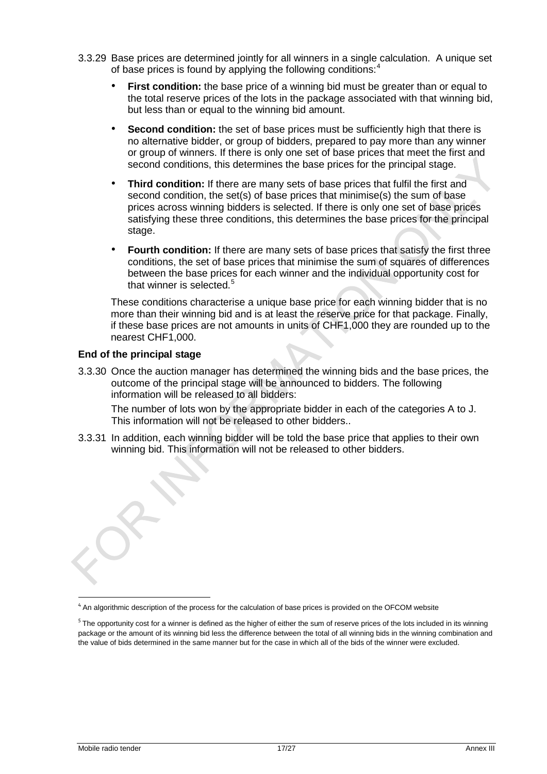- 3.3.29 Base prices are determined jointly for all winners in a single calculation. A unique set of base prices is found by applying the following conditions:<sup>[4](#page-16-0)</sup>
	- **First condition:** the base price of a winning bid must be greater than or equal to the total reserve prices of the lots in the package associated with that winning bid, but less than or equal to the winning bid amount.
	- **Second condition:** the set of base prices must be sufficiently high that there is no alternative bidder, or group of bidders, prepared to pay more than any winner or group of winners. If there is only one set of base prices that meet the first and second conditions, this determines the base prices for the principal stage.
	- **Third condition:** If there are many sets of base prices that fulfil the first and second condition, the set(s) of base prices that minimise(s) the sum of base prices across winning bidders is selected. If there is only one set of base prices satisfying these three conditions, this determines the base prices for the principal stage.
	- **Fourth condition:** If there are many sets of base prices that satisfy the first three conditions, the set of base prices that minimise the sum of squares of differences between the base prices for each winner and the individual opportunity cost for that winner is selected.<sup>[5](#page-16-1)</sup>

These conditions characterise a unique base price for each winning bidder that is no more than their winning bid and is at least the reserve price for that package. Finally, if these base prices are not amounts in units of CHF1,000 they are rounded up to the nearest CHF1,000.

#### **End of the principal stage**

3.3.30 Once the auction manager has determined the winning bids and the base prices, the outcome of the principal stage will be announced to bidders. The following information will be released to all bidders:

The number of lots won by the appropriate bidder in each of the categories A to J. This information will not be released to other bidders..

3.3.31 In addition, each winning bidder will be told the base price that applies to their own winning bid. This information will not be released to other bidders.

<span id="page-16-0"></span><sup>&</sup>lt;sup>4</sup> An algorithmic description of the process for the calculation of base prices is provided on the OFCOM website

<span id="page-16-1"></span> $5$  The opportunity cost for a winner is defined as the higher of either the sum of reserve prices of the lots included in its winning package or the amount of its winning bid less the difference between the total of all winning bids in the winning combination and the value of bids determined in the same manner but for the case in which all of the bids of the winner were excluded.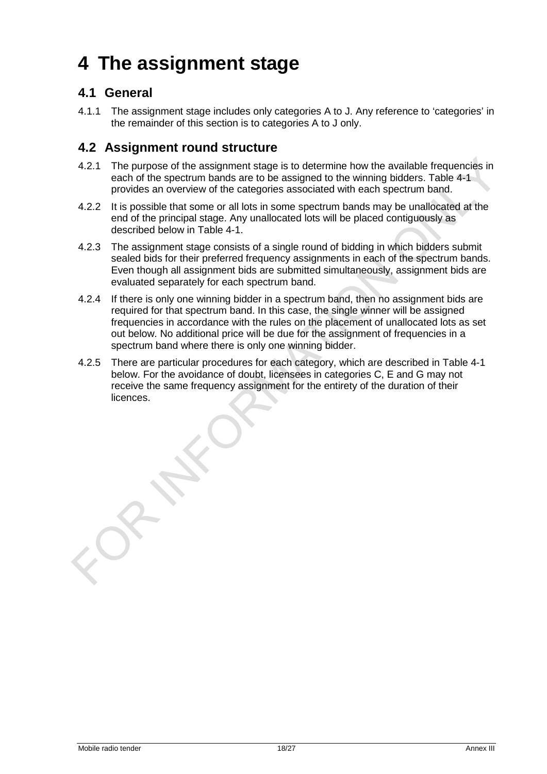# <span id="page-17-0"></span>**4 The assignment stage**

## <span id="page-17-1"></span>**4.1 General**

4.1.1 The assignment stage includes only categories A to J. Any reference to 'categories' in the remainder of this section is to categories A to J only.

## <span id="page-17-2"></span>**4.2 Assignment round structure**

- 4.2.1 The purpose of the assignment stage is to determine how the available frequencies in each of the spectrum bands are to be assigned to the winning bidders. Table 4-1 provides an overview of the categories associated with each spectrum band.
- 4.2.2 It is possible that some or all lots in some spectrum bands may be unallocated at the end of the principal stage. Any unallocated lots will be placed contiguously as described below in Table 4-1.
- 4.2.3 The assignment stage consists of a single round of bidding in which bidders submit sealed bids for their preferred frequency assignments in each of the spectrum bands. Even though all assignment bids are submitted simultaneously, assignment bids are evaluated separately for each spectrum band.
- 4.2.4 If there is only one winning bidder in a spectrum band, then no assignment bids are required for that spectrum band. In this case, the single winner will be assigned frequencies in accordance with the rules on the placement of unallocated lots as set out below. No additional price will be due for the assignment of frequencies in a spectrum band where there is only one winning bidder.
- 4.2.5 There are particular procedures for each category, which are described in Table 4-1 below. For the avoidance of doubt, licensees in categories C, E and G may not receive the same frequency assignment for the entirety of the duration of their licences.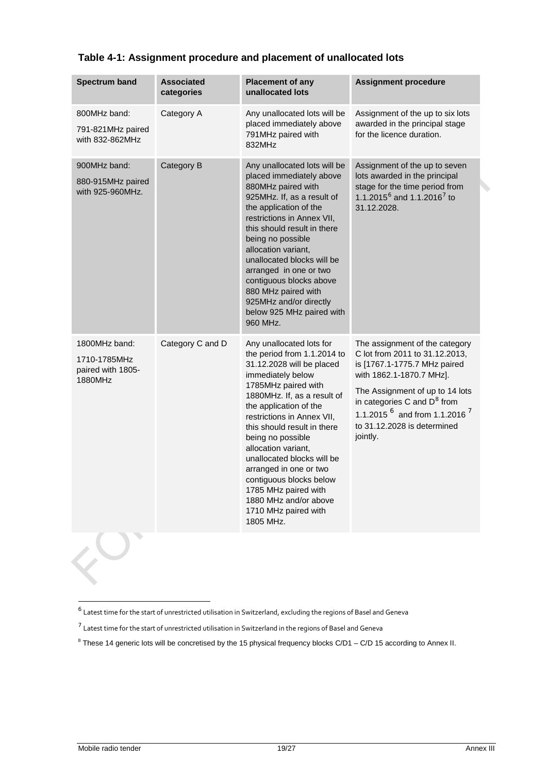| <b>Spectrum band</b>                                          | <b>Associated</b><br>categories | <b>Placement of any</b><br>unallocated lots                                                                                                                                                                                                                                                                                                                                                                                                                                 | <b>Assignment procedure</b>                                                                                                                                                                                                                                                                   |  |
|---------------------------------------------------------------|---------------------------------|-----------------------------------------------------------------------------------------------------------------------------------------------------------------------------------------------------------------------------------------------------------------------------------------------------------------------------------------------------------------------------------------------------------------------------------------------------------------------------|-----------------------------------------------------------------------------------------------------------------------------------------------------------------------------------------------------------------------------------------------------------------------------------------------|--|
| 800MHz band:<br>791-821MHz paired<br>with 832-862MHz          | Category A                      | Any unallocated lots will be<br>placed immediately above<br>791MHz paired with<br>832MHz                                                                                                                                                                                                                                                                                                                                                                                    | Assignment of the up to six lots<br>awarded in the principal stage<br>for the licence duration.                                                                                                                                                                                               |  |
| 900MHz band:<br>880-915MHz paired<br>with 925-960MHz.         | Category B                      | Any unallocated lots will be<br>placed immediately above<br>880MHz paired with<br>925MHz. If, as a result of<br>the application of the<br>restrictions in Annex VII,<br>this should result in there<br>being no possible<br>allocation variant,<br>unallocated blocks will be<br>arranged in one or two<br>contiguous blocks above<br>880 MHz paired with<br>925MHz and/or directly<br>below 925 MHz paired with<br>960 MHz.                                                | Assignment of the up to seven<br>lots awarded in the principal<br>stage for the time period from<br>1.1.2015 $^6$ and 1.1.2016 <sup>7</sup> to<br>31.12.2028.                                                                                                                                 |  |
| 1800MHz band:<br>1710-1785MHz<br>paired with 1805-<br>1880MHz | Category C and D                | Any unallocated lots for<br>the period from 1.1.2014 to<br>31.12.2028 will be placed<br>immediately below<br>1785MHz paired with<br>1880MHz. If, as a result of<br>the application of the<br>restrictions in Annex VII.<br>this should result in there<br>being no possible<br>allocation variant,<br>unallocated blocks will be<br>arranged in one or two<br>contiguous blocks below<br>1785 MHz paired with<br>1880 MHz and/or above<br>1710 MHz paired with<br>1805 MHz. | The assignment of the category<br>C lot from 2011 to 31.12.2013,<br>is [1767.1-1775.7 MHz paired<br>with 1862.1-1870.7 MHz].<br>The Assignment of up to 14 lots<br>in categories C and D <sup>8</sup> from<br>1.1.2015 $^6$ and from 1.1.2016 $^7$<br>to 31.12.2028 is determined<br>jointly. |  |

#### **Table 4-1: Assignment procedure and placement of unallocated lots**

 $\overline{a}$ 

<span id="page-18-0"></span><sup>6</sup> Latest time for the start of unrestricted utilisation in Switzerland, excluding the regions of Basel and Geneva

 $^7$  Latest time for the start of unrestricted utilisation in Switzerland in the regions of Basel and Geneva

<span id="page-18-2"></span><span id="page-18-1"></span> $8$  These 14 generic lots will be concretised by the 15 physical frequency blocks C/D1 – C/D 15 according to Annex II.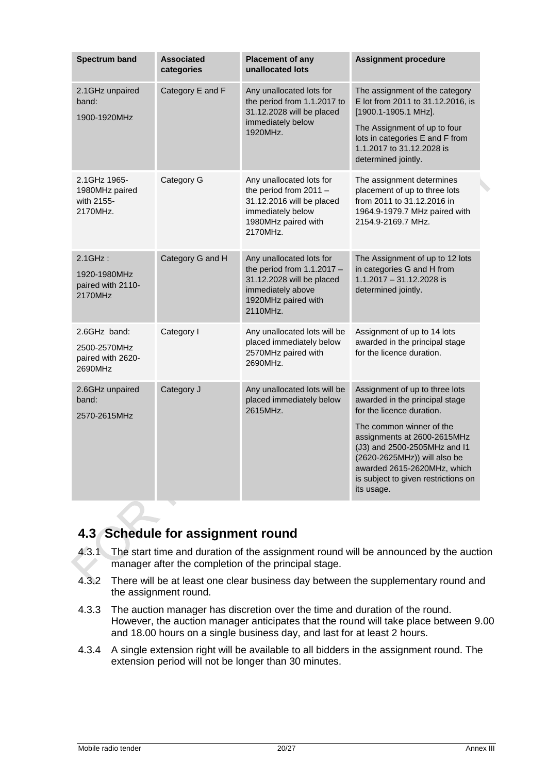| <b>Spectrum band</b>                                         | <b>Associated</b><br>categories | <b>Placement of any</b><br>unallocated lots                                                                                                   | <b>Assignment procedure</b>                                                                                                                                                                                 |
|--------------------------------------------------------------|---------------------------------|-----------------------------------------------------------------------------------------------------------------------------------------------|-------------------------------------------------------------------------------------------------------------------------------------------------------------------------------------------------------------|
| 2.1GHz unpaired<br>band:<br>1900-1920MHz                     | Category E and F                | Any unallocated lots for<br>the period from 1.1.2017 to<br>31.12.2028 will be placed<br>immediately below                                     | The assignment of the category<br>E lot from 2011 to 31.12.2016, is<br>[1900.1-1905.1 MHz].                                                                                                                 |
|                                                              |                                 | 1920MHz.                                                                                                                                      | The Assignment of up to four<br>lots in categories E and F from<br>1.1.2017 to 31.12.2028 is<br>determined jointly.                                                                                         |
| 2.1GHz 1965-<br>1980MHz paired<br>with 2155-<br>2170MHz.     | Category G                      | Any unallocated lots for<br>the period from $2011 -$<br>31.12.2016 will be placed<br>immediately below<br>1980MHz paired with<br>2170MHz.     | The assignment determines<br>placement of up to three lots<br>from 2011 to 31.12.2016 in<br>1964.9-1979.7 MHz paired with<br>2154.9-2169.7 MHz.                                                             |
| $2.1$ GHz:<br>1920-1980MHz<br>paired with 2110-<br>2170MHz   | Category G and H                | Any unallocated lots for<br>the period from $1.1.2017 -$<br>31.12.2028 will be placed<br>immediately above<br>1920MHz paired with<br>2110MHz. | The Assignment of up to 12 lots<br>in categories G and H from<br>1.1.2017 - 31.12.2028 is<br>determined jointly.                                                                                            |
| 2.6GHz band:<br>2500-2570MHz<br>paired with 2620-<br>2690MHz | Category I                      | Any unallocated lots will be<br>placed immediately below<br>2570MHz paired with<br>2690MHz.                                                   | Assignment of up to 14 lots<br>awarded in the principal stage<br>for the licence duration.                                                                                                                  |
| 2.6GHz unpaired<br>band:<br>2570-2615MHz                     | Category J                      | Any unallocated lots will be<br>placed immediately below<br>2615MHz.                                                                          | Assignment of up to three lots<br>awarded in the principal stage<br>for the licence duration.                                                                                                               |
|                                                              |                                 |                                                                                                                                               | The common winner of the<br>assignments at 2600-2615MHz<br>(J3) and 2500-2505MHz and I1<br>(2620-2625MHz)) will also be<br>awarded 2615-2620MHz, which<br>is subject to given restrictions on<br>its usage. |

## <span id="page-19-0"></span>**4.3 Schedule for assignment round**

- 4.3.1 The start time and duration of the assignment round will be announced by the auction manager after the completion of the principal stage.
- 4.3.2 There will be at least one clear business day between the supplementary round and the assignment round.
- 4.3.3 The auction manager has discretion over the time and duration of the round. However, the auction manager anticipates that the round will take place between 9.00 and 18.00 hours on a single business day, and last for at least 2 hours.
- 4.3.4 A single extension right will be available to all bidders in the assignment round. The extension period will not be longer than 30 minutes.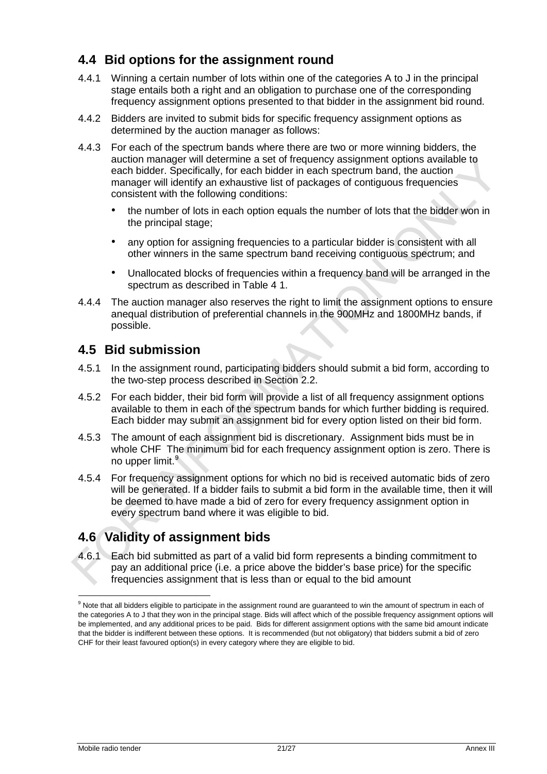## <span id="page-20-0"></span>**4.4 Bid options for the assignment round**

- 4.4.1 Winning a certain number of lots within one of the categories A to J in the principal stage entails both a right and an obligation to purchase one of the corresponding frequency assignment options presented to that bidder in the assignment bid round.
- 4.4.2 Bidders are invited to submit bids for specific frequency assignment options as determined by the auction manager as follows:
- 4.4.3 For each of the spectrum bands where there are two or more winning bidders, the auction manager will determine a set of frequency assignment options available to each bidder. Specifically, for each bidder in each spectrum band, the auction manager will identify an exhaustive list of packages of contiguous frequencies consistent with the following conditions:
	- the number of lots in each option equals the number of lots that the bidder won in the principal stage;
	- any option for assigning frequencies to a particular bidder is consistent with all other winners in the same spectrum band receiving contiguous spectrum; and
	- Unallocated blocks of frequencies within a frequency band will be arranged in the spectrum as described in Table 4 1.
- 4.4.4 The auction manager also reserves the right to limit the assignment options to ensure anequal distribution of preferential channels in the 900MHz and 1800MHz bands, if possible.

## <span id="page-20-1"></span>**4.5 Bid submission**

- 4.5.1 In the assignment round, participating bidders should submit a bid form, according to the two-step process described in Section [2.2.](#page-8-2)
- 4.5.2 For each bidder, their bid form will provide a list of all frequency assignment options available to them in each of the spectrum bands for which further bidding is required. Each bidder may submit an assignment bid for every option listed on their bid form.
- 4.5.3 The amount of each assignment bid is discretionary. Assignment bids must be in whole CHF The minimum bid for each frequency assignment option is zero. There is no upper limit.<sup>[9](#page-20-3)</sup>
- 4.5.4 For frequency assignment options for which no bid is received automatic bids of zero will be generated. If a bidder fails to submit a bid form in the available time, then it will be deemed to have made a bid of zero for every frequency assignment option in every spectrum band where it was eligible to bid.

## <span id="page-20-2"></span>**4.6 Validity of assignment bids**

<span id="page-20-4"></span>4.6.1 Each bid submitted as part of a valid bid form represents a binding commitment to pay an additional price (i.e. a price above the bidder's base price) for the specific frequencies assignment that is less than or equal to the bid amount

-

<span id="page-20-3"></span><sup>&</sup>lt;sup>9</sup> Note that all bidders eligible to participate in the assignment round are guaranteed to win the amount of spectrum in each of the categories A to J that they won in the principal stage. Bids will affect which of the possible frequency assignment options will be implemented, and any additional prices to be paid. Bids for different assignment options with the same bid amount indicate that the bidder is indifferent between these options. It is recommended (but not obligatory) that bidders submit a bid of zero CHF for their least favoured option(s) in every category where they are eligible to bid.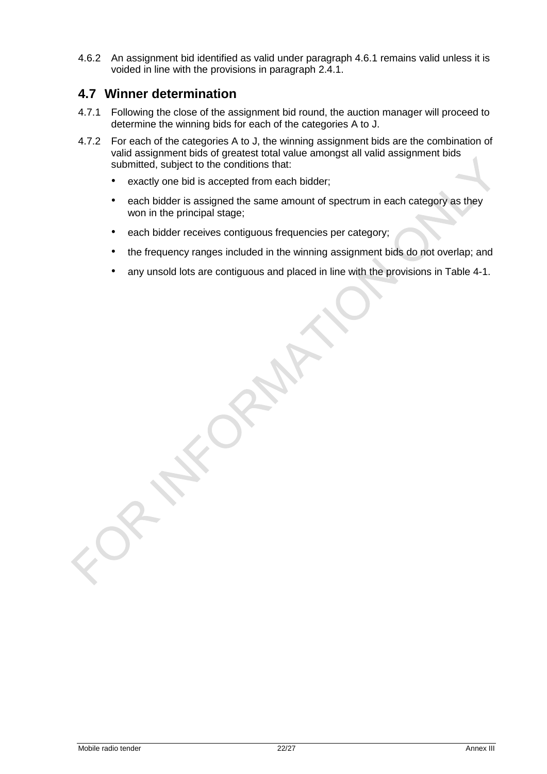4.6.2 An assignment bid identified as valid under paragraph [4.6.1](#page-20-4) remains valid unless it is voided in line with the provisions in paragraph [2.4.1.](#page-9-4)

### <span id="page-21-0"></span>**4.7 Winner determination**

- 4.7.1 Following the close of the assignment bid round, the auction manager will proceed to determine the winning bids for each of the categories A to J.
- <span id="page-21-1"></span>4.7.2 For each of the categories A to J, the winning assignment bids are the combination of valid assignment bids of greatest total value amongst all valid assignment bids submitted, subject to the conditions that:
	- exactly one bid is accepted from each bidder;
	- each bidder is assigned the same amount of spectrum in each category as they won in the principal stage;
	- each bidder receives contiguous frequencies per category;
	- the frequency ranges included in the winning assignment bids do not overlap; and
	- any unsold lots are contiguous and placed in line with the provisions in Table 4-1.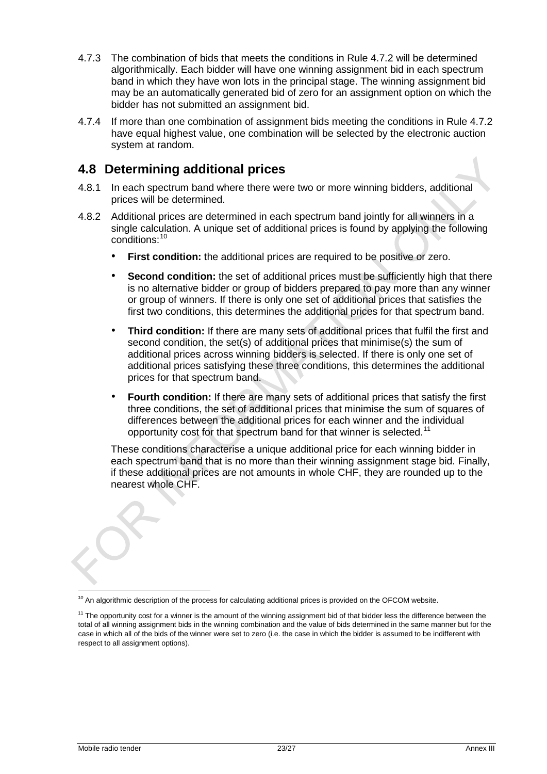- 4.7.3 The combination of bids that meets the conditions in Rule [4.7.2](#page-21-1) will be determined algorithmically. Each bidder will have one winning assignment bid in each spectrum band in which they have won lots in the principal stage. The winning assignment bid may be an automatically generated bid of zero for an assignment option on which the bidder has not submitted an assignment bid.
- 4.7.4 If more than one combination of assignment bids meeting the conditions in Rule [4.7.2](#page-21-1) have equal highest value, one combination will be selected by the electronic auction system at random.

## <span id="page-22-0"></span>**4.8 Determining additional prices**

- 4.8.1 In each spectrum band where there were two or more winning bidders, additional prices will be determined.
- 4.8.2 Additional prices are determined in each spectrum band jointly for all winners in a single calculation. A unique set of additional prices is found by applying the following conditions:[10](#page-22-1)
	- **First condition:** the additional prices are required to be positive or zero.
	- **Second condition:** the set of additional prices must be sufficiently high that there is no alternative bidder or group of bidders prepared to pay more than any winner or group of winners. If there is only one set of additional prices that satisfies the first two conditions, this determines the additional prices for that spectrum band.
	- **Third condition:** If there are many sets of additional prices that fulfil the first and second condition, the set(s) of additional prices that minimise(s) the sum of additional prices across winning bidders is selected. If there is only one set of additional prices satisfying these three conditions, this determines the additional prices for that spectrum band.
	- **Fourth condition:** If there are many sets of additional prices that satisfy the first three conditions, the set of additional prices that minimise the sum of squares of differences between the additional prices for each winner and the individual opportunity cost for that spectrum band for that winner is selected.<sup>[11](#page-22-2)</sup>

These conditions characterise a unique additional price for each winning bidder in each spectrum band that is no more than their winning assignment stage bid. Finally, if these additional prices are not amounts in whole CHF, they are rounded up to the nearest whole CHF.

<span id="page-22-1"></span><sup>&</sup>lt;sup>10</sup> An algorithmic description of the process for calculating additional prices is provided on the OFCOM website.

<span id="page-22-2"></span><sup>&</sup>lt;sup>11</sup> The opportunity cost for a winner is the amount of the winning assignment bid of that bidder less the difference between the total of all winning assignment bids in the winning combination and the value of bids determined in the same manner but for the case in which all of the bids of the winner were set to zero (i.e. the case in which the bidder is assumed to be indifferent with respect to all assignment options).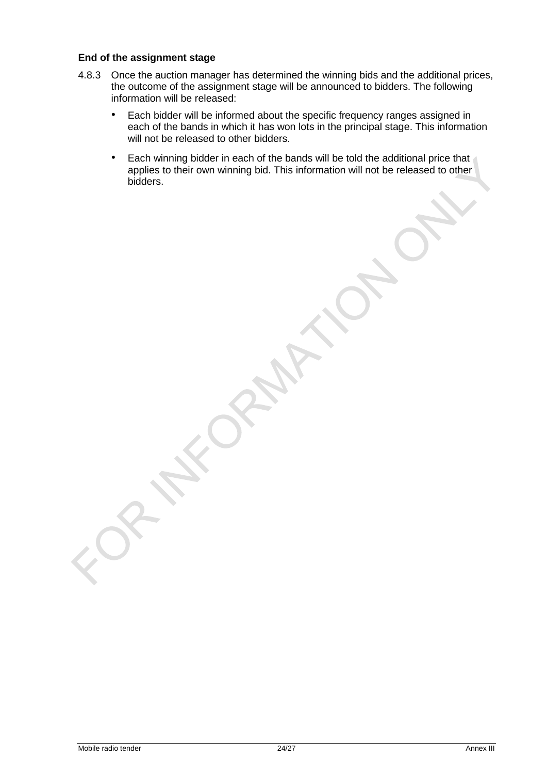#### **End of the assignment stage**

- 4.8.3 Once the auction manager has determined the winning bids and the additional prices, the outcome of the assignment stage will be announced to bidders. The following information will be released:
	- Each bidder will be informed about the specific frequency ranges assigned in each of the bands in which it has won lots in the principal stage. This information will not be released to other bidders.
	- Each winning bidder in each of the bands will be told the additional price that applies to their own winning bid. This information will not be released to other bidders.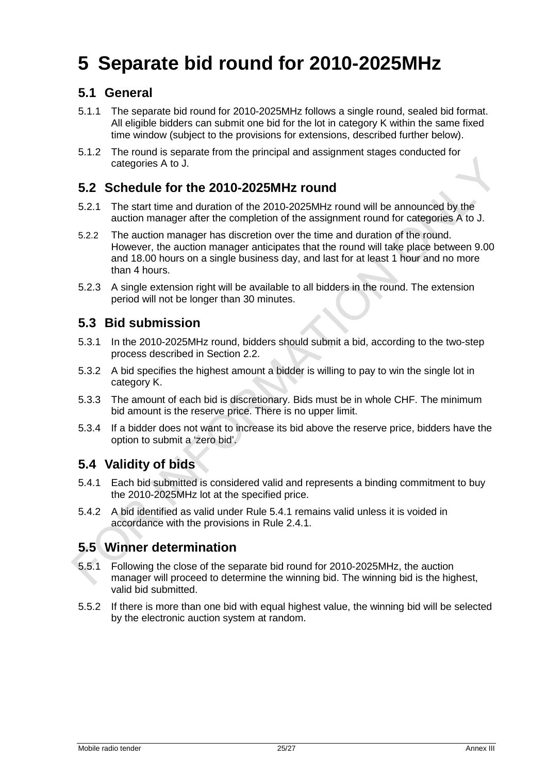# <span id="page-24-0"></span>**5 Separate bid round for 2010-2025MHz**

## <span id="page-24-1"></span>**5.1 General**

- 5.1.1 The separate bid round for 2010-2025MHz follows a single round, sealed bid format. All eligible bidders can submit one bid for the lot in category K within the same fixed time window (subject to the provisions for extensions, described further below).
- 5.1.2 The round is separate from the principal and assignment stages conducted for categories A to J.

### <span id="page-24-2"></span>**5.2 Schedule for the 2010-2025MHz round**

- 5.2.1 The start time and duration of the 2010-2025MHz round will be announced by the auction manager after the completion of the assignment round for categories A to J.
- 5.2.2 The auction manager has discretion over the time and duration of the round. However, the auction manager anticipates that the round will take place between 9.00 and 18.00 hours on a single business day, and last for at least 1 hour and no more than 4 hours.
- 5.2.3 A single extension right will be available to all bidders in the round. The extension period will not be longer than 30 minutes.

### <span id="page-24-3"></span>**5.3 Bid submission**

- 5.3.1 In the 2010-2025MHz round, bidders should submit a bid, according to the two-step process described in Section [2.2.](#page-8-2)
- 5.3.2 A bid specifies the highest amount a bidder is willing to pay to win the single lot in category K.
- 5.3.3 The amount of each bid is discretionary. Bids must be in whole CHF. The minimum bid amount is the reserve price. There is no upper limit.
- 5.3.4 If a bidder does not want to increase its bid above the reserve price, bidders have the option to submit a 'zero bid'.

### <span id="page-24-4"></span>**5.4 Validity of bids**

- <span id="page-24-6"></span>5.4.1 Each bid submitted is considered valid and represents a binding commitment to buy the 2010-2025MHz lot at the specified price.
- 5.4.2 A bid identified as valid under Rule [5.4.1](#page-24-6) remains valid unless it is voided in accordance with the provisions in Rule [2.4.1.](#page-9-4)

## <span id="page-24-5"></span>**5.5 Winner determination**

- 5.5.1 Following the close of the separate bid round for 2010-2025MHz, the auction manager will proceed to determine the winning bid. The winning bid is the highest, valid bid submitted.
- 5.5.2 If there is more than one bid with equal highest value, the winning bid will be selected by the electronic auction system at random.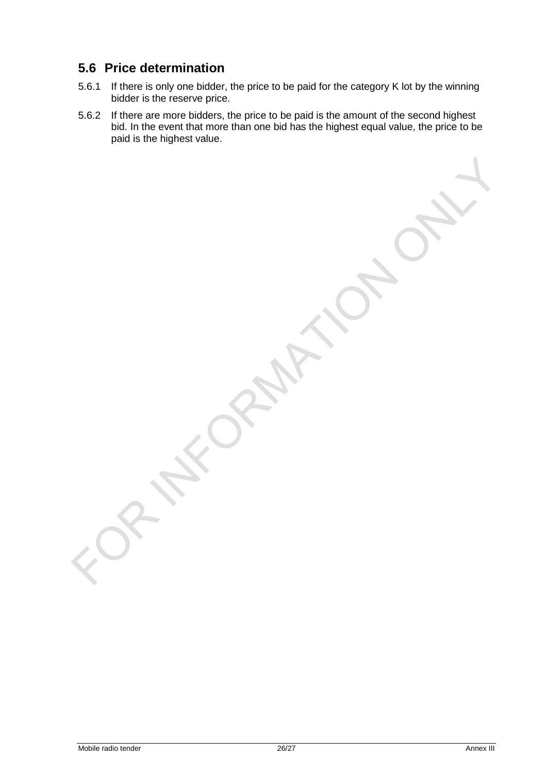## <span id="page-25-0"></span>**5.6 Price determination**

- 5.6.1 If there is only one bidder, the price to be paid for the category K lot by the winning bidder is the reserve price.
- 5.6.2 If there are more bidders, the price to be paid is the amount of the second highest bid. In the event that more than one bid has the highest equal value, the price to be paid is the highest value.

Mobile radio tender 26/27 Annex III